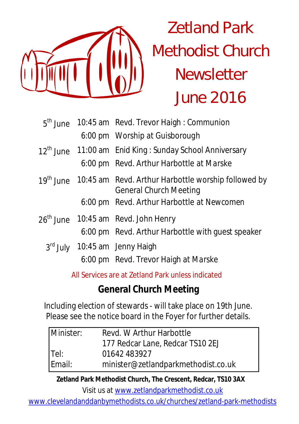

# Zetland Park Methodist Church **Newsletter** June 2016

|  | 5 <sup>th</sup> June 10:45 am Revd. Trevor Haigh: Communion                                                |  |  |
|--|------------------------------------------------------------------------------------------------------------|--|--|
|  | 6:00 pm Worship at Guisborough                                                                             |  |  |
|  | 12 <sup>th</sup> June 11:00 am Enid King: Sunday School Anniversary                                        |  |  |
|  | 6:00 pm Revd. Arthur Harbottle at Marske                                                                   |  |  |
|  | 19 <sup>th</sup> June 10:45 am Revd. Arthur Harbottle worship followed by<br><b>General Church Meeting</b> |  |  |
|  | 6:00 pm Revd. Arthur Harbottle at Newcomen                                                                 |  |  |
|  | 26 <sup>th</sup> June 10:45 am Revd. John Henry                                                            |  |  |
|  | 6:00 pm Revd. Arthur Harbottle with guest speaker                                                          |  |  |
|  | 3rd July 10:45 am Jenny Haigh                                                                              |  |  |
|  | 6:00 pm Revd. Trevor Haigh at Marske                                                                       |  |  |

All Services are at Zetland Park unless indicated

# **General Church Meeting**

Including election of stewards - will take place on 19th June. Please see the notice board in the Foyer for further details.

| Minister: | Revd. W Arthur Harbottle            |  |
|-----------|-------------------------------------|--|
|           | 177 Redcar Lane, Redcar TS10 2EJ    |  |
| Tel:      | 01642 483927                        |  |
| Email:    | minister@zetlandparkmethodist.co.uk |  |

**Zetland Park Methodist Church, The Crescent, Redcar, TS10 3AX**

Visit us at www.zetlandparkmethodist.co.uk

www.clevelandanddanbymethodists.co.uk/churches/zetland-park-methodists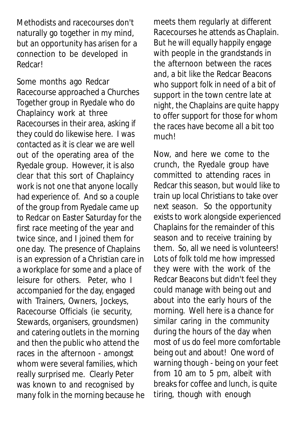Methodists and racecourses don't naturally go together in my mind, but an opportunity has arisen for a connection to be developed in Redcar!

Some months ago Redcar Racecourse approached a Churches Together group in Ryedale who do Chaplaincy work at three Racecourses in their area, asking if they could do likewise here. I was contacted as it is clear we are well out of the operating area of the Ryedale group. However, it is also clear that this sort of Chaplaincy work is not one that anyone locally had experience of. And so a couple of the group from Ryedale came up to Redcar on Easter Saturday for the first race meeting of the year and twice since, and I joined them for one day. The presence of Chaplains is an expression of a Christian care in a workplace for some and a place of leisure for others. Peter, who I accompanied for the day, engaged with Trainers, Owners, Jockeys, Racecourse Officials (ie security, Stewards, organisers, groundsmen) and catering outlets in the morning and then the public who attend the races in the afternoon - amongst whom were several families, which really surprised me. Clearly Peter was known to and recognised by many folk in the morning because he meets them regularly at different Racecourses he attends as Chaplain. But he will equally happily engage with people in the grandstands in the afternoon between the races and, a bit like the Redcar Beacons who support folk in need of a bit of support in the town centre late at night, the Chaplains are quite happy to offer support for those for whom the races have become all a bit too much!

Now, and here we come to the crunch, the Ryedale group have committed to attending races in Redcar this season, but would like to train up local Christians to take over next season. So the opportunity exists to work alongside experienced Chaplains for the remainder of this season and to receive training by them. So, all we need is volunteers! Lots of folk told me how impressed they were with the work of the Redcar Beacons but didn't feel they could manage with being out and about into the early hours of the morning. Well here is a chance for similar caring in the community during the hours of the day when most of us do feel more comfortable being out and about! One word of warning though - being on your feet from 10 am to 5 pm, albeit with breaks for coffee and lunch, is quite tiring, though with enough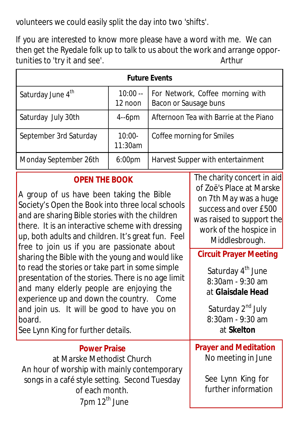volunteers we could easily split the day into two 'shifts'.

If you are interested to know more please have a word with me. We can then get the Ryedale folk up to talk to us about the work and arrange opportunities to 'try it and see'. Arthur

| <b>Future Events</b>          |                      |                                                           |  |  |
|-------------------------------|----------------------|-----------------------------------------------------------|--|--|
| Saturday June 4 <sup>th</sup> | $10:00 -$<br>12 noon | For Network, Coffee morning with<br>Bacon or Sausage buns |  |  |
| Saturday July 30th            | $4-6$ pm             | Afternoon Tea with Barrie at the Piano                    |  |  |
| September 3rd Saturday        | $10:00-$<br>11:30am  | Coffee morning for Smiles                                 |  |  |
| Monday September 26th         | 6:00 <sub>pm</sub>   | Harvest Supper with entertainment                         |  |  |

#### **OPEN THE BOOK**

A group of us have been taking the Bible Society's Open the Book into three local schools and are sharing Bible stories with the children there. It is an interactive scheme with dressing up, both adults and children. It's great fun. Feel free to join us if you are passionate about sharing the Bible with the young and would like to read the stories or take part in some simple presentation of the stories. There is no age limit and many elderly people are enjoying the experience up and down the country. Come and join us. It will be good to have you on board.

See Lynn King for further details.

## **Power Praise**

at Marske Methodist Church An hour of worship with mainly contemporary songs in a café style setting. Second Tuesday of each month.  $7$ pm  $12<sup>th</sup>$  June

The charity concert in aid of Zoë's Place at Marske on 7th May was a huge success and over £500 was raised to support the work of the hospice in Middlesbrough.

## **Circuit Prayer Meeting**

Saturday 4<sup>th</sup> June 8:30am - 9:30 am at **Glaisdale Head**

Saturday 2<sup>nd</sup> July 8:30am - 9:30 am at **Skelton**

#### **Prayer and Meditation**  No meeting in June

See Lynn King for further information